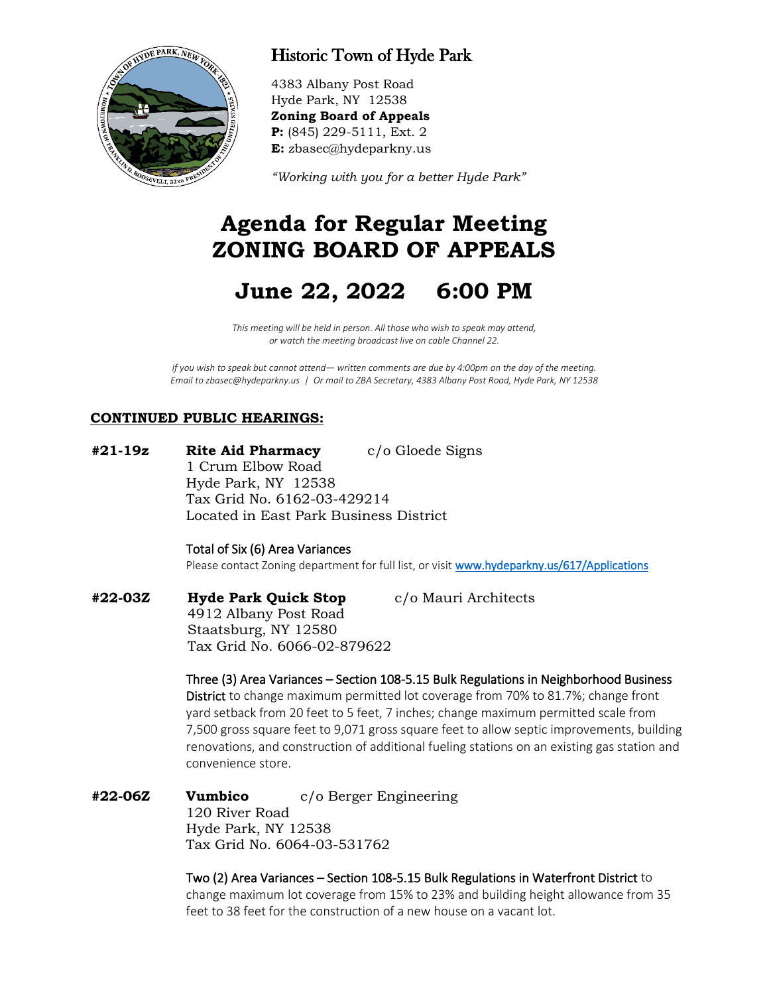

## Historic Town of Hyde Park

4383 Albany Post Road Hyde Park, NY 12538 **Zoning Board of Appeals P:** (845) 229-5111, Ext. 2 **E:** zbasec@hydeparkny.us

*"Working with you for a better Hyde Park"* 

## **Agenda for Regular Meeting ZONING BOARD OF APPEALS**

# **June 22, 2022 6:00 PM**

*This meeting will be held in person. All those who wish to speak may attend, or watch the meeting broadcast live on cable Channel 22.*

*If you wish to speak but cannot attend— written comments are due by 4:00pm on the day of the meeting. Email to zbasec@hydeparkny.us | Or mail to ZBA Secretary, 4383 Albany Post Road, Hyde Park, NY 12538*

### **CONTINUED PUBLIC HEARINGS:**

**#21-19z Rite Aid Pharmacy** c/o Gloede Signs 1 Crum Elbow Road Hyde Park, NY 12538 Tax Grid No. 6162-03-429214 Located in East Park Business District

Total of Six (6) Area Variances

Please contact Zoning department for full list, or visi[t www.hydeparkny.us/617/Applications](http://www.hydeparkny.us/617/Applications)

**#22-03Z Hyde Park Quick Stop** c/o Mauri Architects 4912 Albany Post Road Staatsburg, NY 12580 Tax Grid No. 6066-02-879622

> Three (3) Area Variances – Section 108-5.15 Bulk Regulations in Neighborhood Business District to change maximum permitted lot coverage from 70% to 81.7%; change front yard setback from 20 feet to 5 feet, 7 inches; change maximum permitted scale from 7,500 gross square feet to 9,071 gross square feet to allow septic improvements, building renovations, and construction of additional fueling stations on an existing gas station and convenience store.

**#22-06Z Vumbico** c/o Berger Engineering 120 River Road Hyde Park, NY 12538 Tax Grid No. 6064-03-531762

> Two (2) Area Variances – Section 108-5.15 Bulk Regulations in Waterfront District to change maximum lot coverage from 15% to 23% and building height allowance from 35 feet to 38 feet for the construction of a new house on a vacant lot.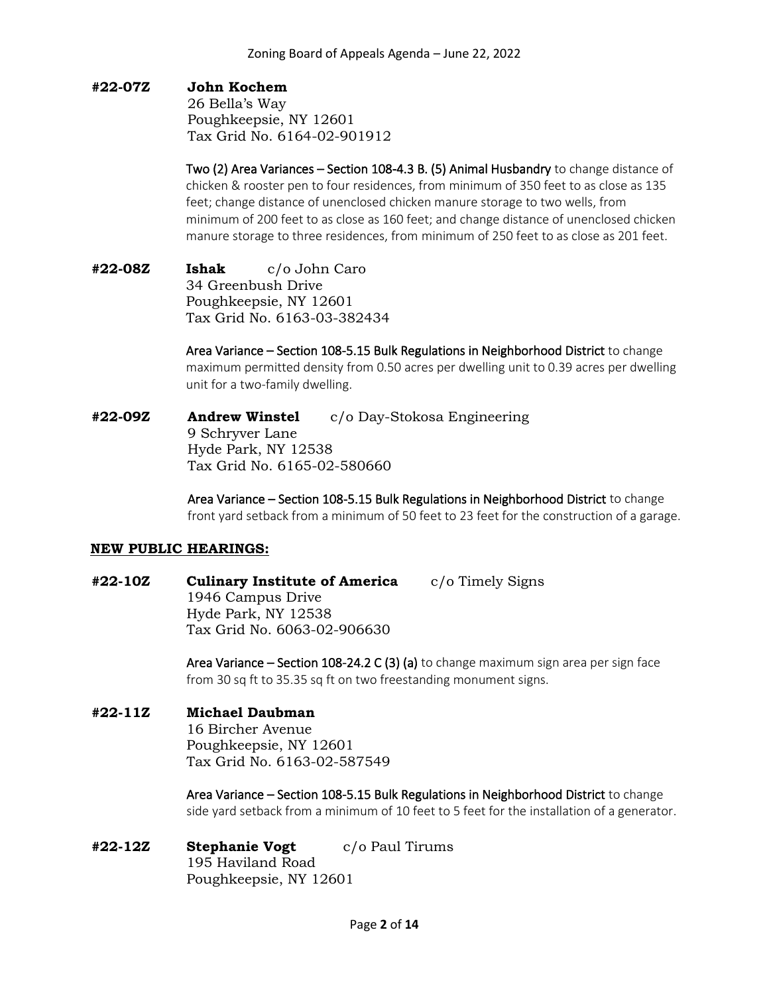#### **#22-07Z John Kochem**

26 Bella's Way Poughkeepsie, NY 12601 Tax Grid No. 6164-02-901912

Two (2) Area Variances – Section 108-4.3 B. (5) Animal Husbandry to change distance of chicken & rooster pen to four residences, from minimum of 350 feet to as close as 135 feet; change distance of unenclosed chicken manure storage to two wells, from minimum of 200 feet to as close as 160 feet; and change distance of unenclosed chicken manure storage to three residences, from minimum of 250 feet to as close as 201 feet.

**#22-08Z Ishak** c/o John Caro 34 Greenbush Drive Poughkeepsie, NY 12601 Tax Grid No. 6163-03-382434

> Area Variance – Section 108-5.15 Bulk Regulations in Neighborhood District to change maximum permitted density from 0.50 acres per dwelling unit to 0.39 acres per dwelling unit for a two-family dwelling.

**#22-09Z Andrew Winstel** c/o Day-Stokosa Engineering 9 Schryver Lane Hyde Park, NY 12538 Tax Grid No. 6165-02-580660

> Area Variance – Section 108-5.15 Bulk Regulations in Neighborhood District to change front yard setback from a minimum of 50 feet to 23 feet for the construction of a garage.

#### **NEW PUBLIC HEARINGS:**

**#22-10Z Culinary Institute of America** c/o Timely Signs 1946 Campus Drive Hyde Park, NY 12538 Tax Grid No. 6063-02-906630

> Area Variance – Section 108-24.2 C (3) (a) to change maximum sign area per sign face from 30 sq ft to 35.35 sq ft on two freestanding monument signs.

#### **#22-11Z Michael Daubman**

16 Bircher Avenue Poughkeepsie, NY 12601 Tax Grid No. 6163-02-587549

Area Variance – Section 108-5.15 Bulk Regulations in Neighborhood District to change side yard setback from a minimum of 10 feet to 5 feet for the installation of a generator.

**#22-12Z Stephanie Vogt** c/o Paul Tirums 195 Haviland Road Poughkeepsie, NY 12601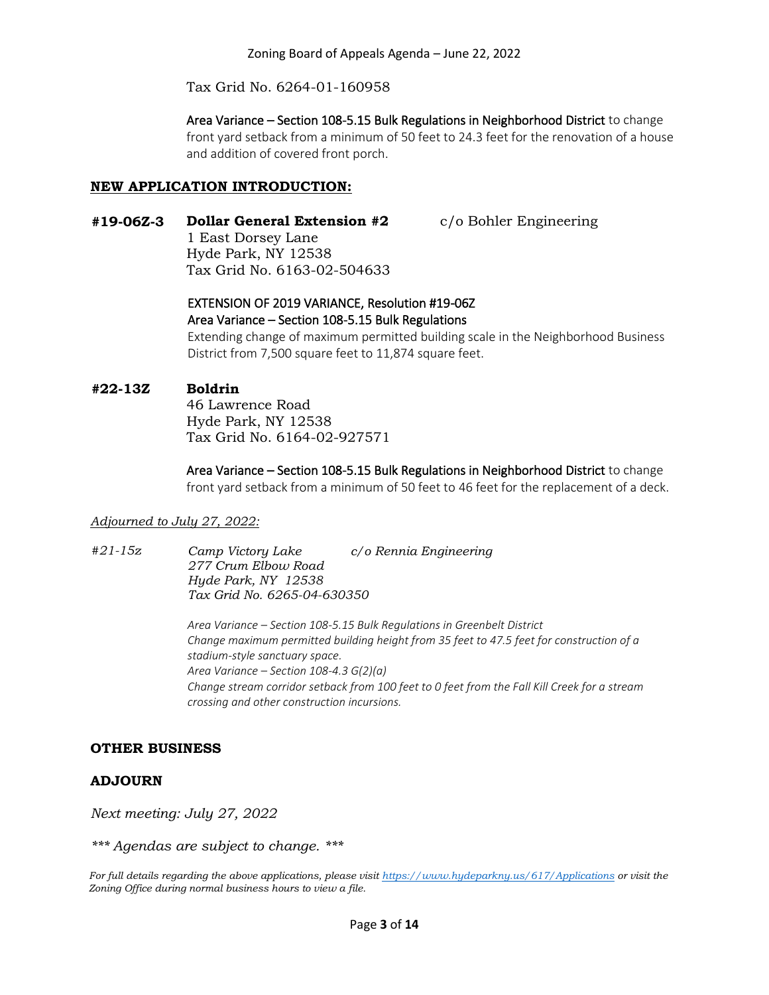Tax Grid No. 6264-01-160958

Area Variance – Section 108-5.15 Bulk Regulations in Neighborhood District to change front yard setback from a minimum of 50 feet to 24.3 feet for the renovation of a house and addition of covered front porch.

#### **NEW APPLICATION INTRODUCTION:**

**#19-06Z-3 Dollar General Extension #2** c/o Bohler Engineering

1 East Dorsey Lane Hyde Park, NY 12538 Tax Grid No. 6163-02-504633

#### EXTENSION OF 2019 VARIANCE, Resolution #19-06Z Area Variance – Section 108-5.15 Bulk Regulations

Extending change of maximum permitted building scale in the Neighborhood Business District from 7,500 square feet to 11,874 square feet.

#### **#22-13Z Boldrin**

46 Lawrence Road Hyde Park, NY 12538 Tax Grid No. 6164-02-927571

Area Variance – Section 108-5.15 Bulk Regulations in Neighborhood District to change front yard setback from a minimum of 50 feet to 46 feet for the replacement of a deck.

#### *Adjourned to July 27, 2022:*

*#21-15z Camp Victory Lake c/o Rennia Engineering 277 Crum Elbow Road Hyde Park, NY 12538 Tax Grid No. 6265-04-630350*

> *Area Variance – Section 108-5.15 Bulk Regulations in Greenbelt District Change maximum permitted building height from 35 feet to 47.5 feet for construction of a stadium-style sanctuary space. Area Variance – Section 108-4.3 G(2)(a) Change stream corridor setback from 100 feet to 0 feet from the Fall Kill Creek for a stream crossing and other construction incursions.*

#### **OTHER BUSINESS**

#### **ADJOURN**

*Next meeting: July 27, 2022*

*\*\*\* Agendas are subject to change. \*\*\**

*For full details regarding the above applications, please visit<https://www.hydeparkny.us/617/Applications> or visit the Zoning Office during normal business hours to view a file.*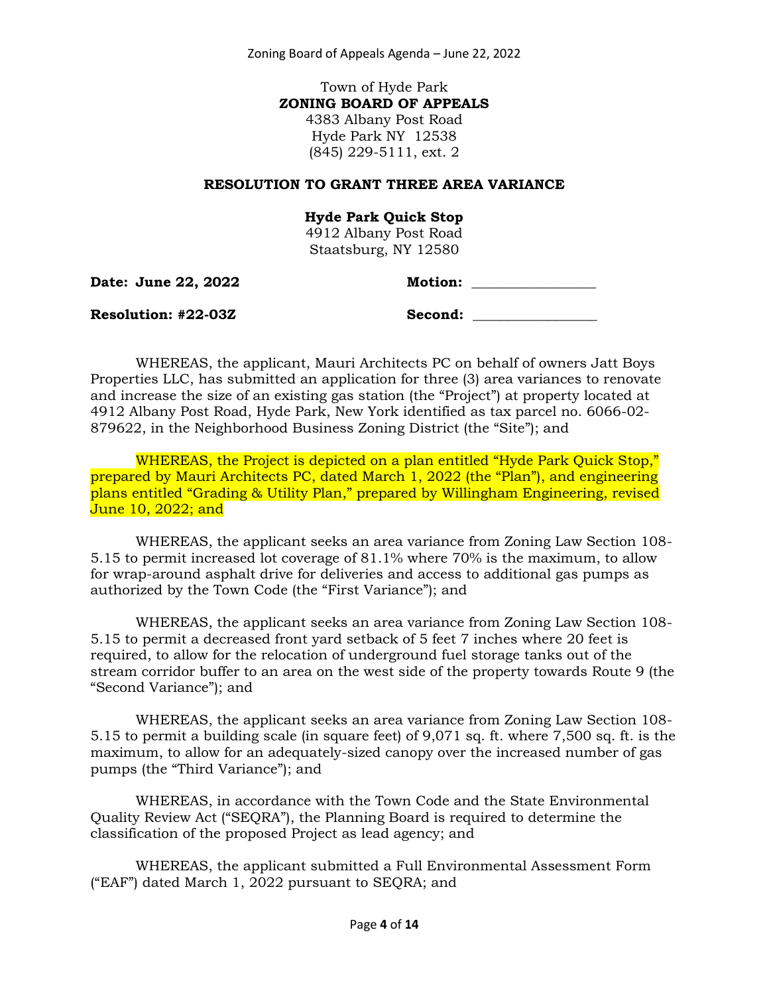Zoning Board of Appeals Agenda – June 22, 2022

Town of Hyde Park **ZONING BOARD OF APPEALS** 4383 Albany Post Road Hyde Park NY 12538 (845) 229-5111, ext. 2

#### **RESOLUTION TO GRANT THREE AREA VARIANCE**

#### **Hyde Park Quick Stop**

4912 Albany Post Road Staatsburg, NY 12580

**Date: June 22, 2022 Motion: \_\_\_\_\_\_\_\_\_\_\_\_\_\_\_\_\_\_**

**Resolution: #22-03Z Second: \_\_\_\_\_\_\_\_\_\_\_\_\_\_\_\_\_\_**

WHEREAS, the applicant, Mauri Architects PC on behalf of owners Jatt Boys Properties LLC, has submitted an application for three (3) area variances to renovate and increase the size of an existing gas station (the "Project") at property located at 4912 Albany Post Road, Hyde Park, New York identified as tax parcel no. 6066-02- 879622, in the Neighborhood Business Zoning District (the "Site"); and

WHEREAS, the Project is depicted on a plan entitled "Hyde Park Quick Stop," prepared by Mauri Architects PC, dated March 1, 2022 (the "Plan"), and engineering plans entitled "Grading & Utility Plan," prepared by Willingham Engineering, revised June 10, 2022; and

WHEREAS, the applicant seeks an area variance from Zoning Law Section 108- 5.15 to permit increased lot coverage of 81.1% where 70% is the maximum, to allow for wrap-around asphalt drive for deliveries and access to additional gas pumps as authorized by the Town Code (the "First Variance"); and

WHEREAS, the applicant seeks an area variance from Zoning Law Section 108- 5.15 to permit a decreased front yard setback of 5 feet 7 inches where 20 feet is required, to allow for the relocation of underground fuel storage tanks out of the stream corridor buffer to an area on the west side of the property towards Route 9 (the "Second Variance"); and

WHEREAS, the applicant seeks an area variance from Zoning Law Section 108- 5.15 to permit a building scale (in square feet) of 9,071 sq. ft. where 7,500 sq. ft. is the maximum, to allow for an adequately-sized canopy over the increased number of gas pumps (the "Third Variance"); and

WHEREAS, in accordance with the Town Code and the State Environmental Quality Review Act ("SEQRA"), the Planning Board is required to determine the classification of the proposed Project as lead agency; and

WHEREAS, the applicant submitted a Full Environmental Assessment Form ("EAF") dated March 1, 2022 pursuant to SEQRA; and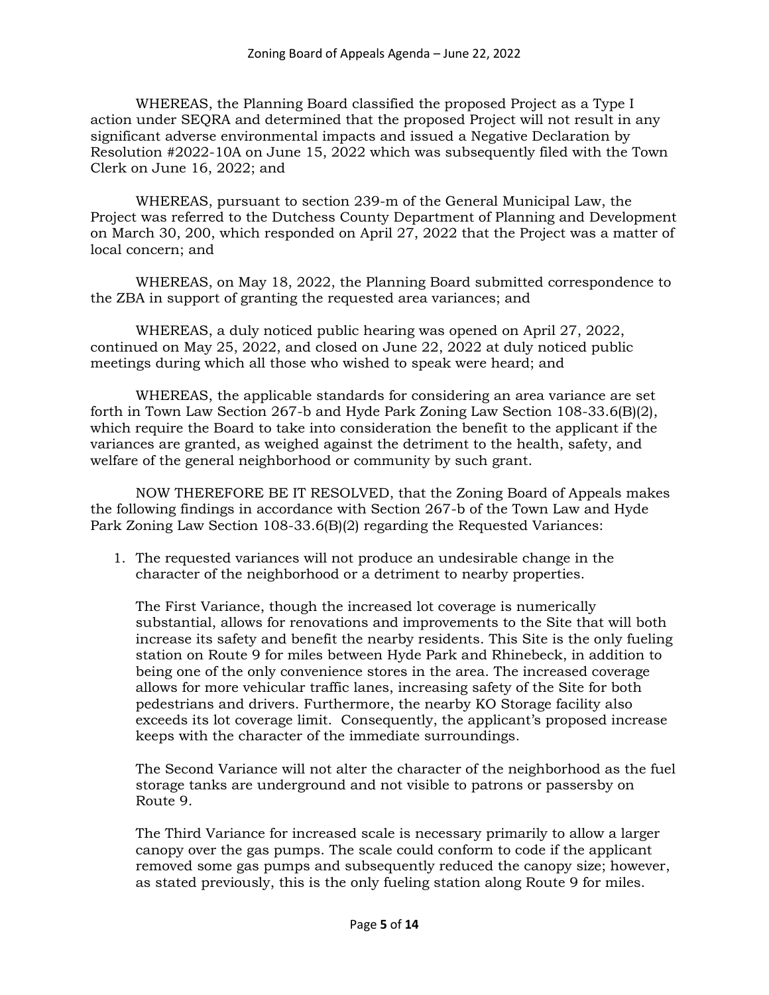WHEREAS, the Planning Board classified the proposed Project as a Type I action under SEQRA and determined that the proposed Project will not result in any significant adverse environmental impacts and issued a Negative Declaration by Resolution #2022-10A on June 15, 2022 which was subsequently filed with the Town Clerk on June 16, 2022; and

WHEREAS, pursuant to section 239-m of the General Municipal Law, the Project was referred to the Dutchess County Department of Planning and Development on March 30, 200, which responded on April 27, 2022 that the Project was a matter of local concern; and

WHEREAS, on May 18, 2022, the Planning Board submitted correspondence to the ZBA in support of granting the requested area variances; and

WHEREAS, a duly noticed public hearing was opened on April 27, 2022, continued on May 25, 2022, and closed on June 22, 2022 at duly noticed public meetings during which all those who wished to speak were heard; and

WHEREAS, the applicable standards for considering an area variance are set forth in Town Law Section 267-b and Hyde Park Zoning Law Section 108-33.6(B)(2), which require the Board to take into consideration the benefit to the applicant if the variances are granted, as weighed against the detriment to the health, safety, and welfare of the general neighborhood or community by such grant.

NOW THEREFORE BE IT RESOLVED, that the Zoning Board of Appeals makes the following findings in accordance with Section 267-b of the Town Law and Hyde Park Zoning Law Section 108-33.6(B)(2) regarding the Requested Variances:

1. The requested variances will not produce an undesirable change in the character of the neighborhood or a detriment to nearby properties.

The First Variance, though the increased lot coverage is numerically substantial, allows for renovations and improvements to the Site that will both increase its safety and benefit the nearby residents. This Site is the only fueling station on Route 9 for miles between Hyde Park and Rhinebeck, in addition to being one of the only convenience stores in the area. The increased coverage allows for more vehicular traffic lanes, increasing safety of the Site for both pedestrians and drivers. Furthermore, the nearby KO Storage facility also exceeds its lot coverage limit. Consequently, the applicant's proposed increase keeps with the character of the immediate surroundings.

The Second Variance will not alter the character of the neighborhood as the fuel storage tanks are underground and not visible to patrons or passersby on Route 9.

The Third Variance for increased scale is necessary primarily to allow a larger canopy over the gas pumps. The scale could conform to code if the applicant removed some gas pumps and subsequently reduced the canopy size; however, as stated previously, this is the only fueling station along Route 9 for miles.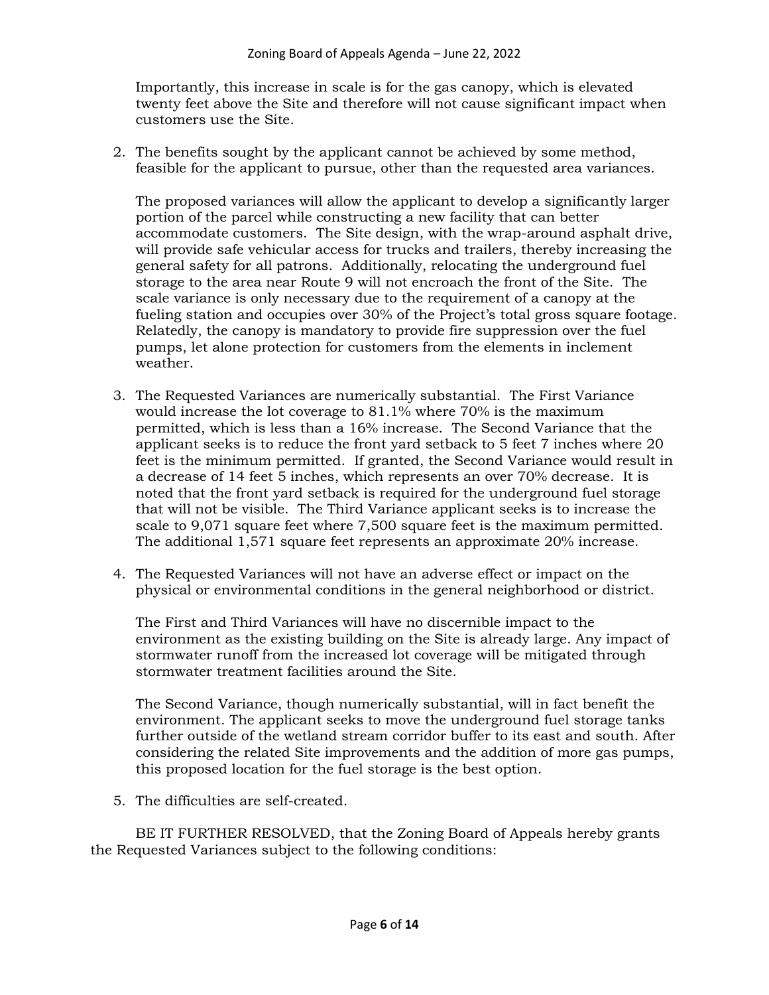Importantly, this increase in scale is for the gas canopy, which is elevated twenty feet above the Site and therefore will not cause significant impact when customers use the Site.

2. The benefits sought by the applicant cannot be achieved by some method, feasible for the applicant to pursue, other than the requested area variances.

The proposed variances will allow the applicant to develop a significantly larger portion of the parcel while constructing a new facility that can better accommodate customers. The Site design, with the wrap-around asphalt drive, will provide safe vehicular access for trucks and trailers, thereby increasing the general safety for all patrons. Additionally, relocating the underground fuel storage to the area near Route 9 will not encroach the front of the Site. The scale variance is only necessary due to the requirement of a canopy at the fueling station and occupies over 30% of the Project's total gross square footage. Relatedly, the canopy is mandatory to provide fire suppression over the fuel pumps, let alone protection for customers from the elements in inclement weather.

- 3. The Requested Variances are numerically substantial. The First Variance would increase the lot coverage to 81.1% where 70% is the maximum permitted, which is less than a 16% increase. The Second Variance that the applicant seeks is to reduce the front yard setback to 5 feet 7 inches where 20 feet is the minimum permitted. If granted, the Second Variance would result in a decrease of 14 feet 5 inches, which represents an over 70% decrease. It is noted that the front yard setback is required for the underground fuel storage that will not be visible. The Third Variance applicant seeks is to increase the scale to 9,071 square feet where 7,500 square feet is the maximum permitted. The additional 1,571 square feet represents an approximate 20% increase.
- 4. The Requested Variances will not have an adverse effect or impact on the physical or environmental conditions in the general neighborhood or district.

The First and Third Variances will have no discernible impact to the environment as the existing building on the Site is already large. Any impact of stormwater runoff from the increased lot coverage will be mitigated through stormwater treatment facilities around the Site.

The Second Variance, though numerically substantial, will in fact benefit the environment. The applicant seeks to move the underground fuel storage tanks further outside of the wetland stream corridor buffer to its east and south. After considering the related Site improvements and the addition of more gas pumps, this proposed location for the fuel storage is the best option.

5. The difficulties are self-created.

BE IT FURTHER RESOLVED, that the Zoning Board of Appeals hereby grants the Requested Variances subject to the following conditions: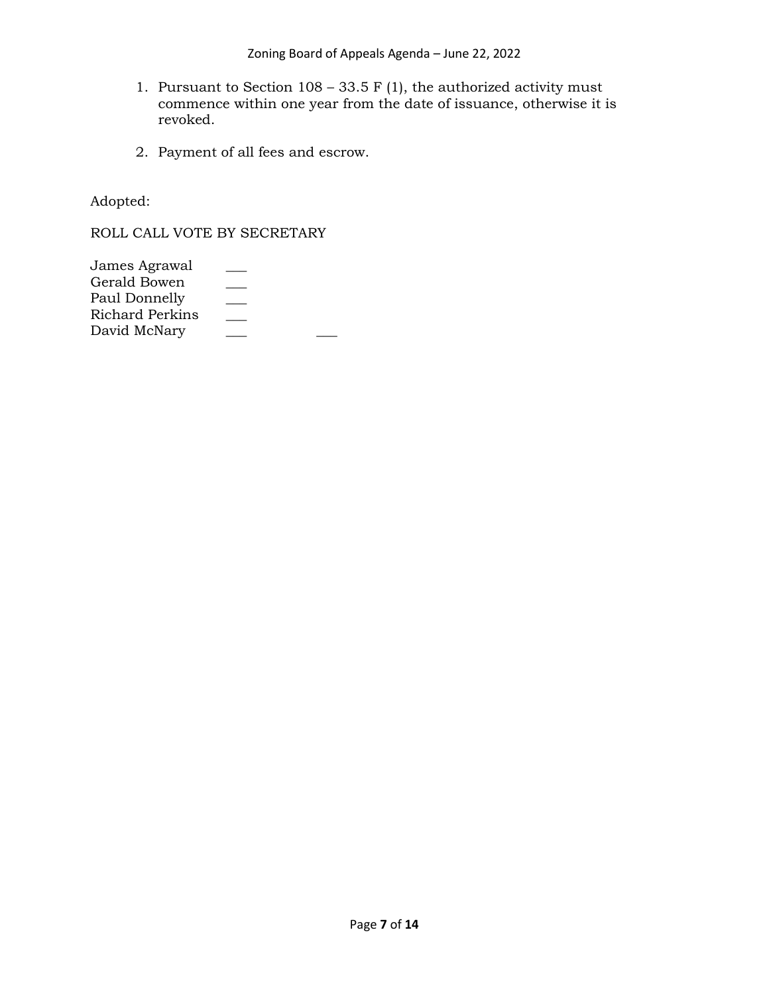- 1. Pursuant to Section  $108 33.5$  F (1), the authorized activity must commence within one year from the date of issuance, otherwise it is revoked.
- 2. Payment of all fees and escrow.

Adopted:

ROLL CALL VOTE BY SECRETARY

| James Agrawal   |  |
|-----------------|--|
| Gerald Bowen    |  |
| Paul Donnelly   |  |
| Richard Perkins |  |
| David McNary    |  |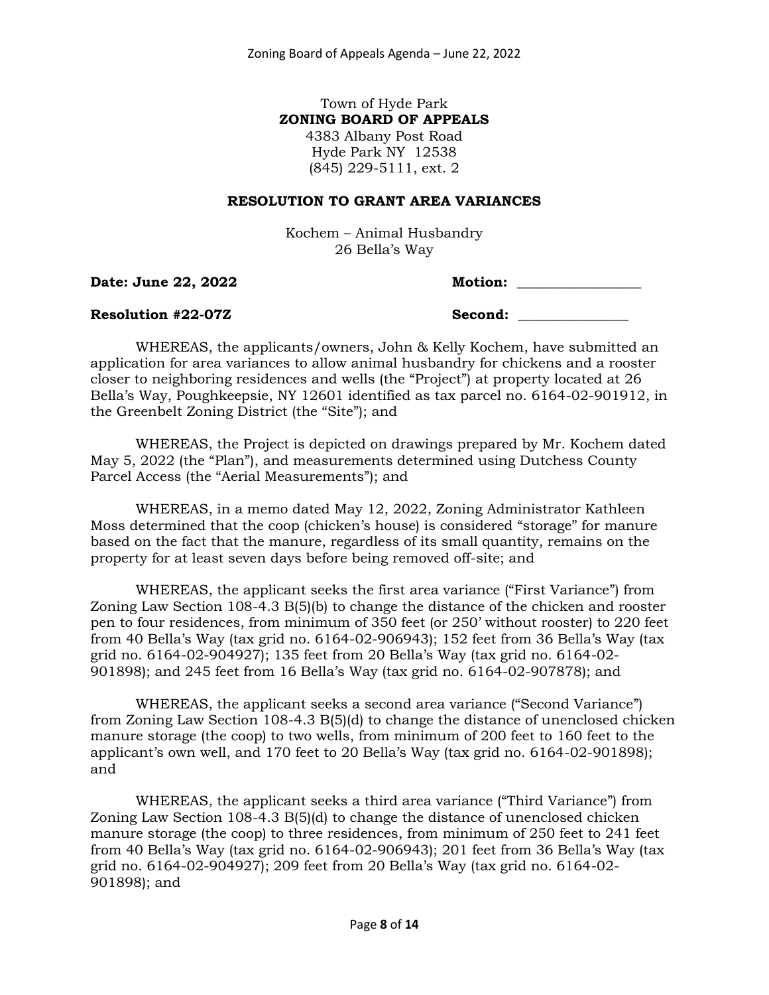#### Town of Hyde Park **ZONING BOARD OF APPEALS** 4383 Albany Post Road

Hyde Park NY 12538 (845) 229-5111, ext. 2

#### **RESOLUTION TO GRANT AREA VARIANCES**

Kochem – Animal Husbandry 26 Bella's Way

**Date: June 22, 2022 Motion: 23, 2022** 

| Iotion: |  |
|---------|--|
|         |  |

#### **Resolution #22-07Z Second: \_\_\_\_\_\_\_\_\_\_\_\_\_\_\_\_**

WHEREAS, the applicants/owners, John & Kelly Kochem, have submitted an application for area variances to allow animal husbandry for chickens and a rooster closer to neighboring residences and wells (the "Project") at property located at 26 Bella's Way, Poughkeepsie, NY 12601 identified as tax parcel no. 6164-02-901912, in the Greenbelt Zoning District (the "Site"); and

WHEREAS, the Project is depicted on drawings prepared by Mr. Kochem dated May 5, 2022 (the "Plan"), and measurements determined using Dutchess County Parcel Access (the "Aerial Measurements"); and

WHEREAS, in a memo dated May 12, 2022, Zoning Administrator Kathleen Moss determined that the coop (chicken's house) is considered "storage" for manure based on the fact that the manure, regardless of its small quantity, remains on the property for at least seven days before being removed off-site; and

WHEREAS, the applicant seeks the first area variance ("First Variance") from Zoning Law Section 108-4.3 B(5)(b) to change the distance of the chicken and rooster pen to four residences, from minimum of 350 feet (or 250' without rooster) to 220 feet from 40 Bella's Way (tax grid no. 6164-02-906943); 152 feet from 36 Bella's Way (tax grid no. 6164-02-904927); 135 feet from 20 Bella's Way (tax grid no. 6164-02- 901898); and 245 feet from 16 Bella's Way (tax grid no. 6164-02-907878); and

WHEREAS, the applicant seeks a second area variance ("Second Variance") from Zoning Law Section 108-4.3 B(5)(d) to change the distance of unenclosed chicken manure storage (the coop) to two wells, from minimum of 200 feet to 160 feet to the applicant's own well, and 170 feet to 20 Bella's Way (tax grid no. 6164-02-901898); and

WHEREAS, the applicant seeks a third area variance ("Third Variance") from Zoning Law Section 108-4.3 B(5)(d) to change the distance of unenclosed chicken manure storage (the coop) to three residences, from minimum of 250 feet to 241 feet from 40 Bella's Way (tax grid no. 6164-02-906943); 201 feet from 36 Bella's Way (tax grid no. 6164-02-904927); 209 feet from 20 Bella's Way (tax grid no. 6164-02- 901898); and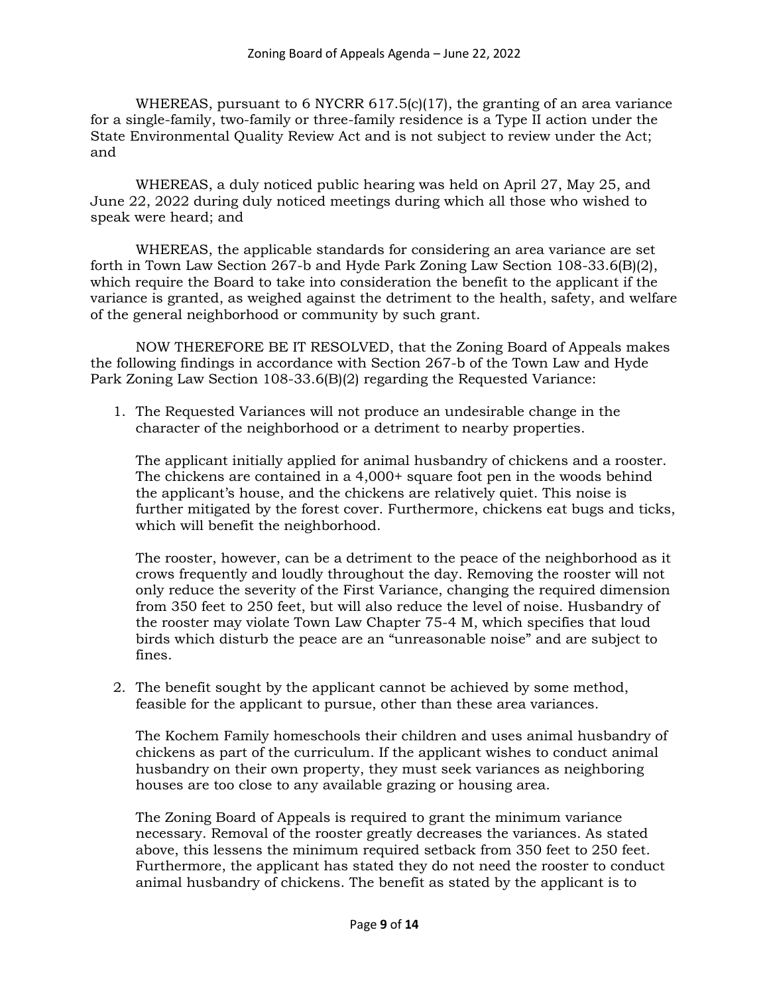WHEREAS, pursuant to 6 NYCRR 617.5(c)(17), the granting of an area variance for a single-family, two-family or three-family residence is a Type II action under the State Environmental Quality Review Act and is not subject to review under the Act; and

WHEREAS, a duly noticed public hearing was held on April 27, May 25, and June 22, 2022 during duly noticed meetings during which all those who wished to speak were heard; and

WHEREAS, the applicable standards for considering an area variance are set forth in Town Law Section 267-b and Hyde Park Zoning Law Section 108-33.6(B)(2), which require the Board to take into consideration the benefit to the applicant if the variance is granted, as weighed against the detriment to the health, safety, and welfare of the general neighborhood or community by such grant.

NOW THEREFORE BE IT RESOLVED, that the Zoning Board of Appeals makes the following findings in accordance with Section 267-b of the Town Law and Hyde Park Zoning Law Section 108-33.6(B)(2) regarding the Requested Variance:

1. The Requested Variances will not produce an undesirable change in the character of the neighborhood or a detriment to nearby properties.

The applicant initially applied for animal husbandry of chickens and a rooster. The chickens are contained in a 4,000+ square foot pen in the woods behind the applicant's house, and the chickens are relatively quiet. This noise is further mitigated by the forest cover. Furthermore, chickens eat bugs and ticks, which will benefit the neighborhood.

The rooster, however, can be a detriment to the peace of the neighborhood as it crows frequently and loudly throughout the day. Removing the rooster will not only reduce the severity of the First Variance, changing the required dimension from 350 feet to 250 feet, but will also reduce the level of noise. Husbandry of the rooster may violate Town Law Chapter 75-4 M, which specifies that loud birds which disturb the peace are an "unreasonable noise" and are subject to fines.

2. The benefit sought by the applicant cannot be achieved by some method, feasible for the applicant to pursue, other than these area variances.

The Kochem Family homeschools their children and uses animal husbandry of chickens as part of the curriculum. If the applicant wishes to conduct animal husbandry on their own property, they must seek variances as neighboring houses are too close to any available grazing or housing area.

The Zoning Board of Appeals is required to grant the minimum variance necessary. Removal of the rooster greatly decreases the variances. As stated above, this lessens the minimum required setback from 350 feet to 250 feet. Furthermore, the applicant has stated they do not need the rooster to conduct animal husbandry of chickens. The benefit as stated by the applicant is to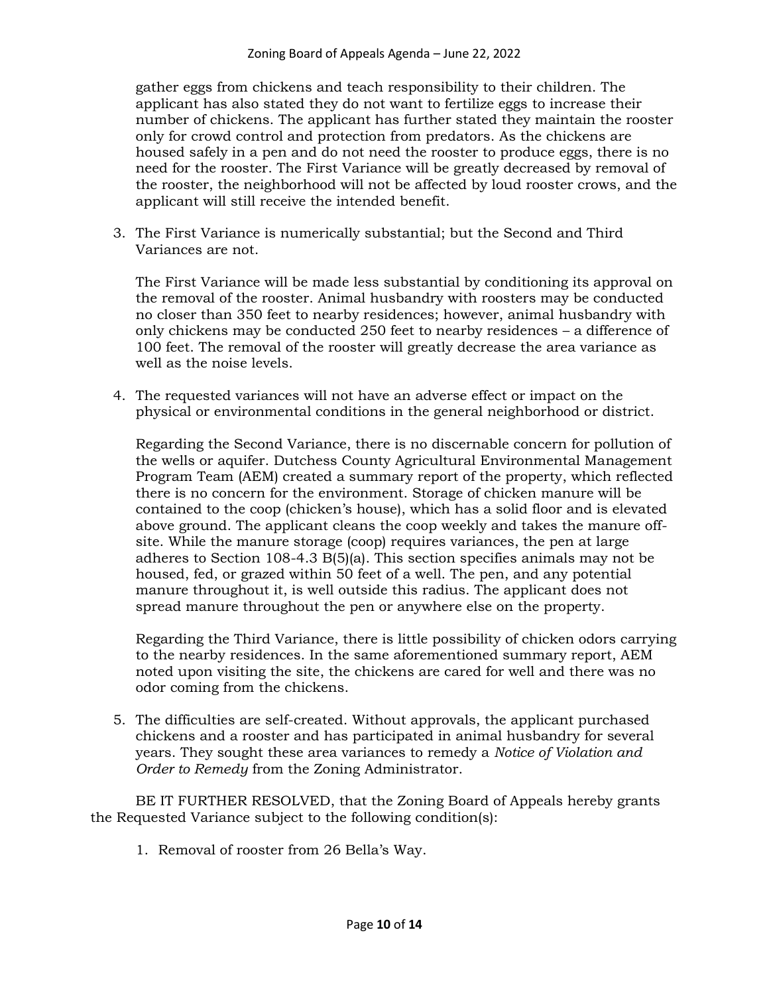gather eggs from chickens and teach responsibility to their children. The applicant has also stated they do not want to fertilize eggs to increase their number of chickens. The applicant has further stated they maintain the rooster only for crowd control and protection from predators. As the chickens are housed safely in a pen and do not need the rooster to produce eggs, there is no need for the rooster. The First Variance will be greatly decreased by removal of the rooster, the neighborhood will not be affected by loud rooster crows, and the applicant will still receive the intended benefit.

3. The First Variance is numerically substantial; but the Second and Third Variances are not.

The First Variance will be made less substantial by conditioning its approval on the removal of the rooster. Animal husbandry with roosters may be conducted no closer than 350 feet to nearby residences; however, animal husbandry with only chickens may be conducted 250 feet to nearby residences – a difference of 100 feet. The removal of the rooster will greatly decrease the area variance as well as the noise levels.

4. The requested variances will not have an adverse effect or impact on the physical or environmental conditions in the general neighborhood or district.

Regarding the Second Variance, there is no discernable concern for pollution of the wells or aquifer. Dutchess County Agricultural Environmental Management Program Team (AEM) created a summary report of the property, which reflected there is no concern for the environment. Storage of chicken manure will be contained to the coop (chicken's house), which has a solid floor and is elevated above ground. The applicant cleans the coop weekly and takes the manure offsite. While the manure storage (coop) requires variances, the pen at large adheres to Section 108-4.3 B(5)(a). This section specifies animals may not be housed, fed, or grazed within 50 feet of a well. The pen, and any potential manure throughout it, is well outside this radius. The applicant does not spread manure throughout the pen or anywhere else on the property.

Regarding the Third Variance, there is little possibility of chicken odors carrying to the nearby residences. In the same aforementioned summary report, AEM noted upon visiting the site, the chickens are cared for well and there was no odor coming from the chickens.

5. The difficulties are self-created. Without approvals, the applicant purchased chickens and a rooster and has participated in animal husbandry for several years. They sought these area variances to remedy a *Notice of Violation and Order to Remedy* from the Zoning Administrator.

BE IT FURTHER RESOLVED, that the Zoning Board of Appeals hereby grants the Requested Variance subject to the following condition(s):

1. Removal of rooster from 26 Bella's Way.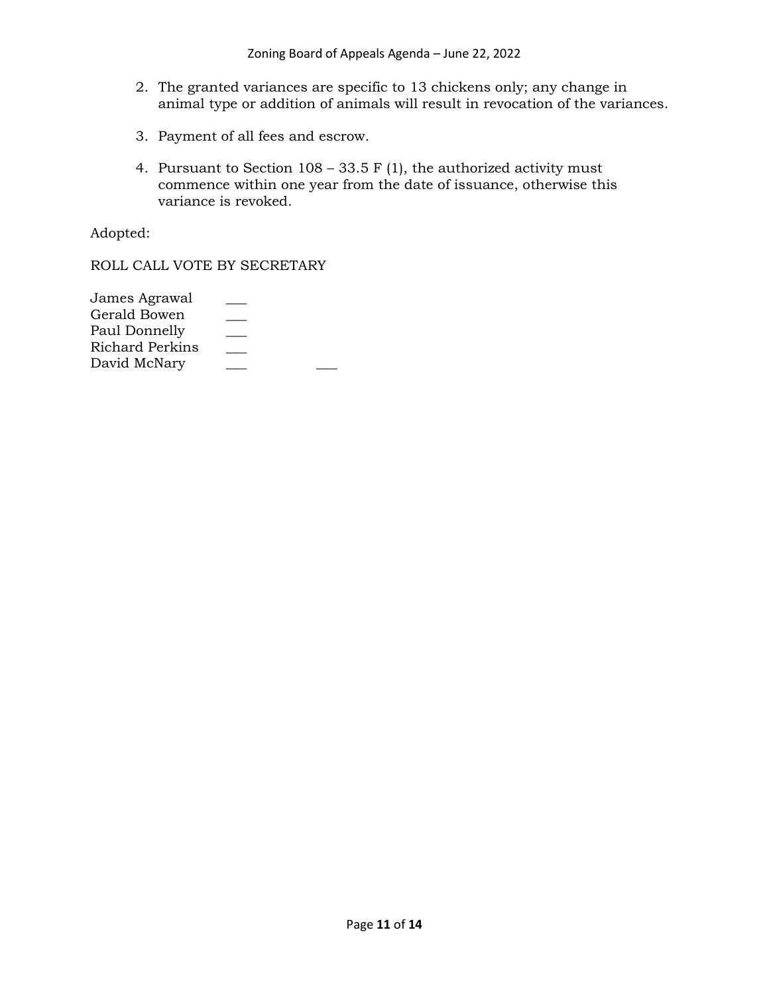- 2. The granted variances are specific to 13 chickens only; any change in animal type or addition of animals will result in revocation of the variances.
- 3. Payment of all fees and escrow.
- 4. Pursuant to Section  $108 33.5$  F (1), the authorized activity must commence within one year from the date of issuance, otherwise this variance is revoked.

Adopted:

ROLL CALL VOTE BY SECRETARY

| James Agrawal   |  |
|-----------------|--|
| Gerald Bowen    |  |
| Paul Donnelly   |  |
| Richard Perkins |  |
| David McNary    |  |
|                 |  |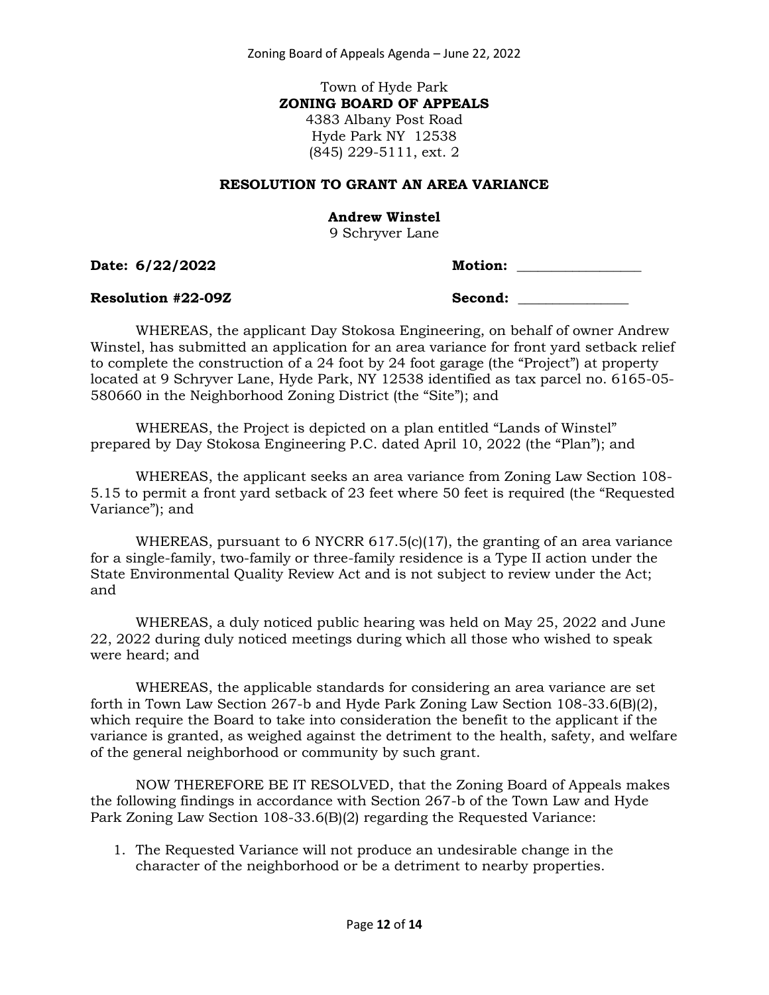Zoning Board of Appeals Agenda – June 22, 2022

Town of Hyde Park **ZONING BOARD OF APPEALS** 4383 Albany Post Road Hyde Park NY 12538 (845) 229-5111, ext. 2

#### **RESOLUTION TO GRANT AN AREA VARIANCE**

#### **Andrew Winstel**

9 Schryver Lane

**Date:** 6/22/2022 **M** 

| Iotion: |  |  |
|---------|--|--|
|         |  |  |

Resolution #22-09Z Second:

WHEREAS, the applicant Day Stokosa Engineering, on behalf of owner Andrew Winstel, has submitted an application for an area variance for front yard setback relief to complete the construction of a 24 foot by 24 foot garage (the "Project") at property located at 9 Schryver Lane, Hyde Park, NY 12538 identified as tax parcel no. 6165-05- 580660 in the Neighborhood Zoning District (the "Site"); and

WHEREAS, the Project is depicted on a plan entitled "Lands of Winstel" prepared by Day Stokosa Engineering P.C. dated April 10, 2022 (the "Plan"); and

WHEREAS, the applicant seeks an area variance from Zoning Law Section 108- 5.15 to permit a front yard setback of 23 feet where 50 feet is required (the "Requested Variance"); and

WHEREAS, pursuant to 6 NYCRR 617.5(c)(17), the granting of an area variance for a single-family, two-family or three-family residence is a Type II action under the State Environmental Quality Review Act and is not subject to review under the Act; and

WHEREAS, a duly noticed public hearing was held on May 25, 2022 and June 22, 2022 during duly noticed meetings during which all those who wished to speak were heard; and

WHEREAS, the applicable standards for considering an area variance are set forth in Town Law Section 267-b and Hyde Park Zoning Law Section 108-33.6(B)(2), which require the Board to take into consideration the benefit to the applicant if the variance is granted, as weighed against the detriment to the health, safety, and welfare of the general neighborhood or community by such grant.

NOW THEREFORE BE IT RESOLVED, that the Zoning Board of Appeals makes the following findings in accordance with Section 267-b of the Town Law and Hyde Park Zoning Law Section 108-33.6(B)(2) regarding the Requested Variance:

1. The Requested Variance will not produce an undesirable change in the character of the neighborhood or be a detriment to nearby properties.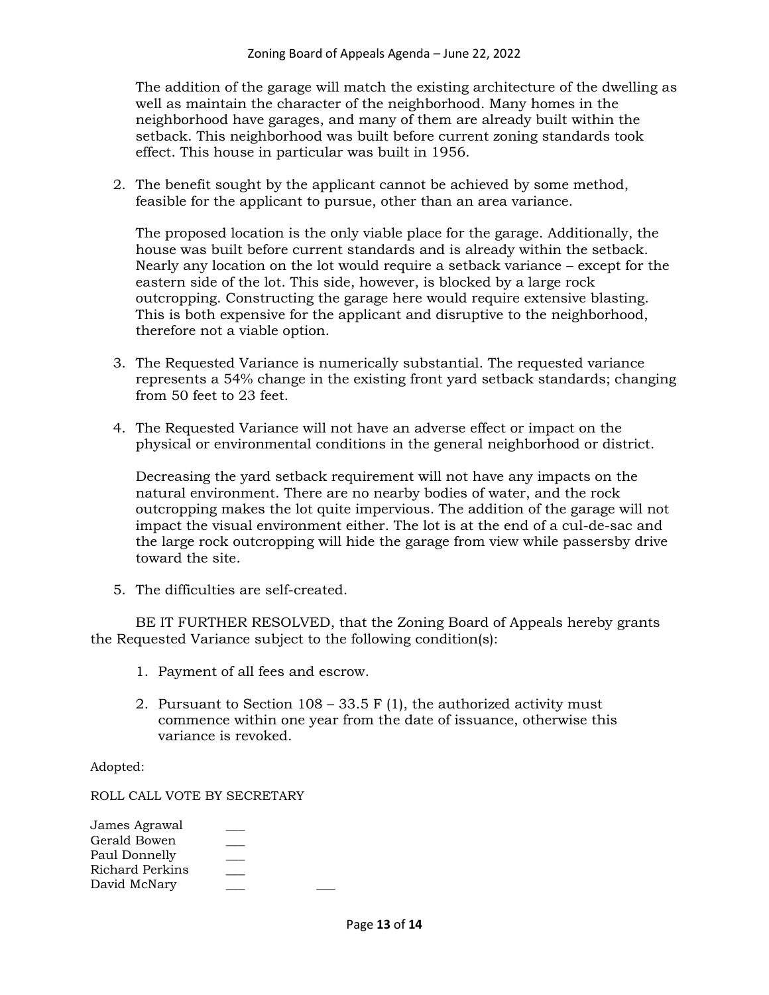The addition of the garage will match the existing architecture of the dwelling as well as maintain the character of the neighborhood. Many homes in the neighborhood have garages, and many of them are already built within the setback. This neighborhood was built before current zoning standards took effect. This house in particular was built in 1956.

2. The benefit sought by the applicant cannot be achieved by some method, feasible for the applicant to pursue, other than an area variance.

The proposed location is the only viable place for the garage. Additionally, the house was built before current standards and is already within the setback. Nearly any location on the lot would require a setback variance – except for the eastern side of the lot. This side, however, is blocked by a large rock outcropping. Constructing the garage here would require extensive blasting. This is both expensive for the applicant and disruptive to the neighborhood, therefore not a viable option.

- 3. The Requested Variance is numerically substantial. The requested variance represents a 54% change in the existing front yard setback standards; changing from 50 feet to 23 feet.
- 4. The Requested Variance will not have an adverse effect or impact on the physical or environmental conditions in the general neighborhood or district.

Decreasing the yard setback requirement will not have any impacts on the natural environment. There are no nearby bodies of water, and the rock outcropping makes the lot quite impervious. The addition of the garage will not impact the visual environment either. The lot is at the end of a cul-de-sac and the large rock outcropping will hide the garage from view while passersby drive toward the site.

5. The difficulties are self-created.

BE IT FURTHER RESOLVED, that the Zoning Board of Appeals hereby grants the Requested Variance subject to the following condition(s):

- 1. Payment of all fees and escrow.
- 2. Pursuant to Section  $108 33.5$  F (1), the authorized activity must commence within one year from the date of issuance, otherwise this variance is revoked.

Adopted:

ROLL CALL VOTE BY SECRETARY

| James Agrawal   |  |
|-----------------|--|
| Gerald Bowen    |  |
| Paul Donnelly   |  |
| Richard Perkins |  |
| David McNary    |  |